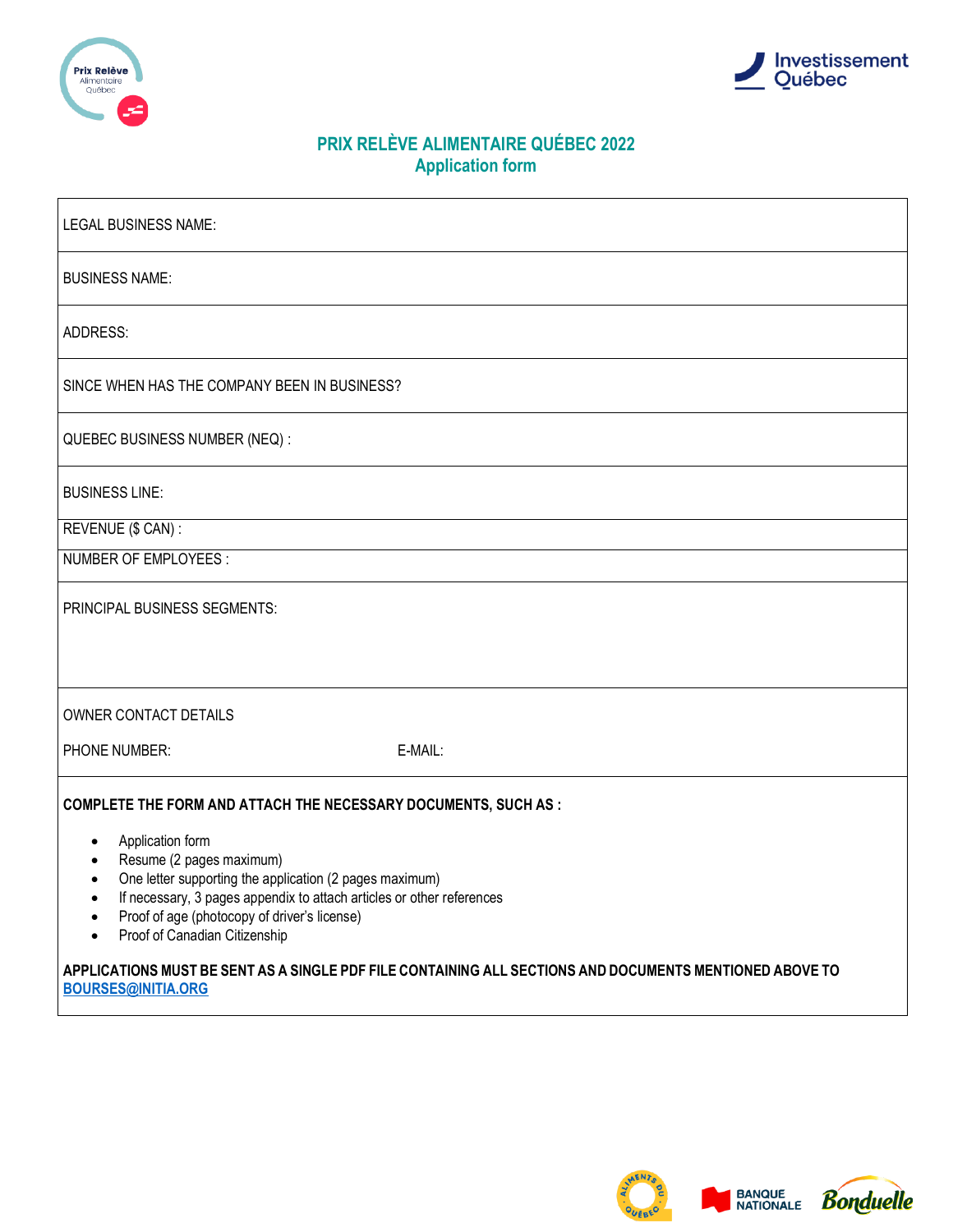



# **PRIX RELÈVE ALIMENTAIRE QUÉBEC 2022 Application form**

| LEGAL BUSINESS NAME:                                                                                                                                                                                                                                                                                                                                                                           |  |  |  |  |
|------------------------------------------------------------------------------------------------------------------------------------------------------------------------------------------------------------------------------------------------------------------------------------------------------------------------------------------------------------------------------------------------|--|--|--|--|
| <b>BUSINESS NAME:</b>                                                                                                                                                                                                                                                                                                                                                                          |  |  |  |  |
| ADDRESS:                                                                                                                                                                                                                                                                                                                                                                                       |  |  |  |  |
| SINCE WHEN HAS THE COMPANY BEEN IN BUSINESS?                                                                                                                                                                                                                                                                                                                                                   |  |  |  |  |
| QUEBEC BUSINESS NUMBER (NEQ) :                                                                                                                                                                                                                                                                                                                                                                 |  |  |  |  |
| <b>BUSINESS LINE:</b>                                                                                                                                                                                                                                                                                                                                                                          |  |  |  |  |
| REVENUE (\$ CAN) :                                                                                                                                                                                                                                                                                                                                                                             |  |  |  |  |
| NUMBER OF EMPLOYEES:                                                                                                                                                                                                                                                                                                                                                                           |  |  |  |  |
| PRINCIPAL BUSINESS SEGMENTS:                                                                                                                                                                                                                                                                                                                                                                   |  |  |  |  |
| OWNER CONTACT DETAILS                                                                                                                                                                                                                                                                                                                                                                          |  |  |  |  |
| PHONE NUMBER:<br>E-MAIL:                                                                                                                                                                                                                                                                                                                                                                       |  |  |  |  |
| <b>COMPLETE THE FORM AND ATTACH THE NECESSARY DOCUMENTS, SUCH AS:</b><br>Application form<br>$\bullet$<br>Resume (2 pages maximum)<br>One letter supporting the application (2 pages maximum)<br>$\bullet$<br>If necessary, 3 pages appendix to attach articles or other references<br>Proof of age (photocopy of driver's license)<br>$\bullet$<br>Proof of Canadian Citizenship<br>$\bullet$ |  |  |  |  |
| APPLICATIONS MUST BE SENT AS A SINGLE PDF FILE CONTAINING ALL SECTIONS AND DOCUMENTS MENTIONED ABOVE TO<br><b>BOURSES@INITIA.ORG</b>                                                                                                                                                                                                                                                           |  |  |  |  |

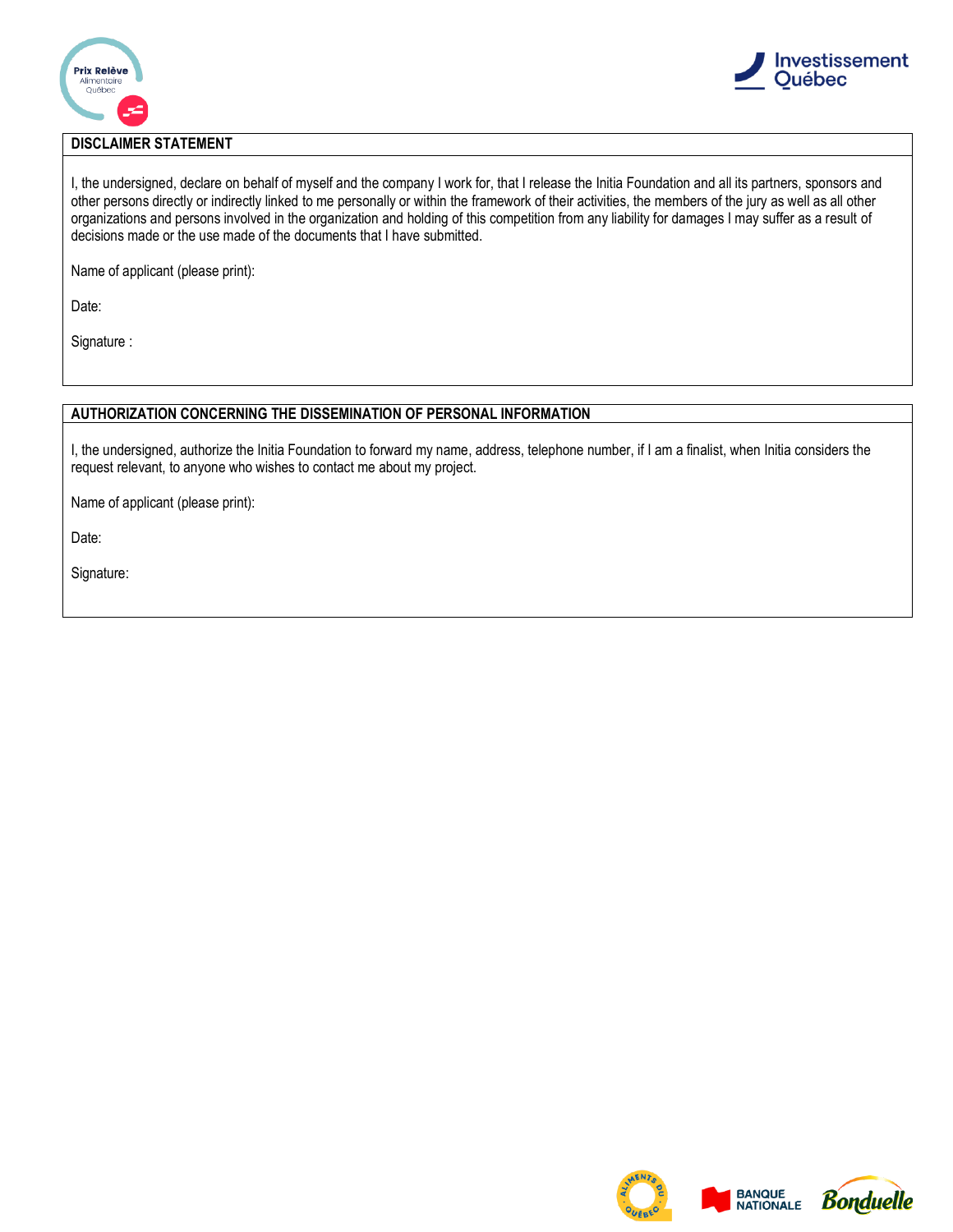



## **DISCLAIMER STATEMENT**

I, the undersigned, declare on behalf of myself and the company I work for, that I release the Initia Foundation and all its partners, sponsors and other persons directly or indirectly linked to me personally or within the framework of their activities, the members of the jury as well as all other organizations and persons involved in the organization and holding of this competition from any liability for damages I may suffer as a result of decisions made or the use made of the documents that I have submitted.

Name of applicant (please print):

Date:

Signature :

## **AUTHORIZATION CONCERNING THE DISSEMINATION OF PERSONAL INFORMATION**

I, the undersigned, authorize the Initia Foundation to forward my name, address, telephone number, if I am a finalist, when Initia considers the request relevant, to anyone who wishes to contact me about my project.

Name of applicant (please print):

Date:

Signature:





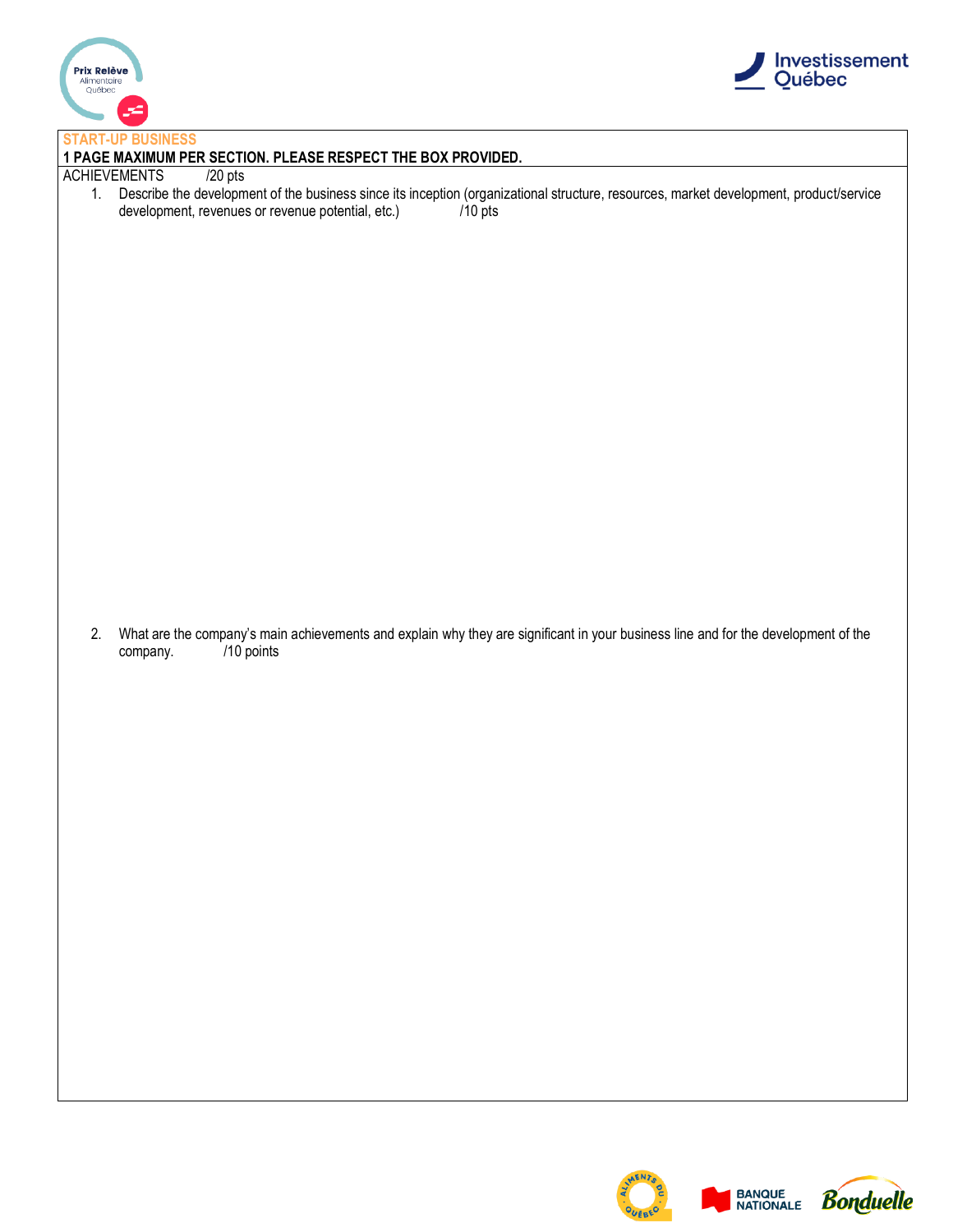



#### **START-UP BUSINESS**

## **1 PAGE MAXIMUM PER SECTION. PLEASE RESPECT THE BOX PROVIDED.**

#### ACHIEVEMENTS /20 pts

1. Describe the development of the business since its inception (organizational structure, resources, market development, product/service development, revenues or revenue potential, etc.) /10 pts

2. What are the company's main achievements and explain why they are significant in your business line and for the development of the company. /10 points company.

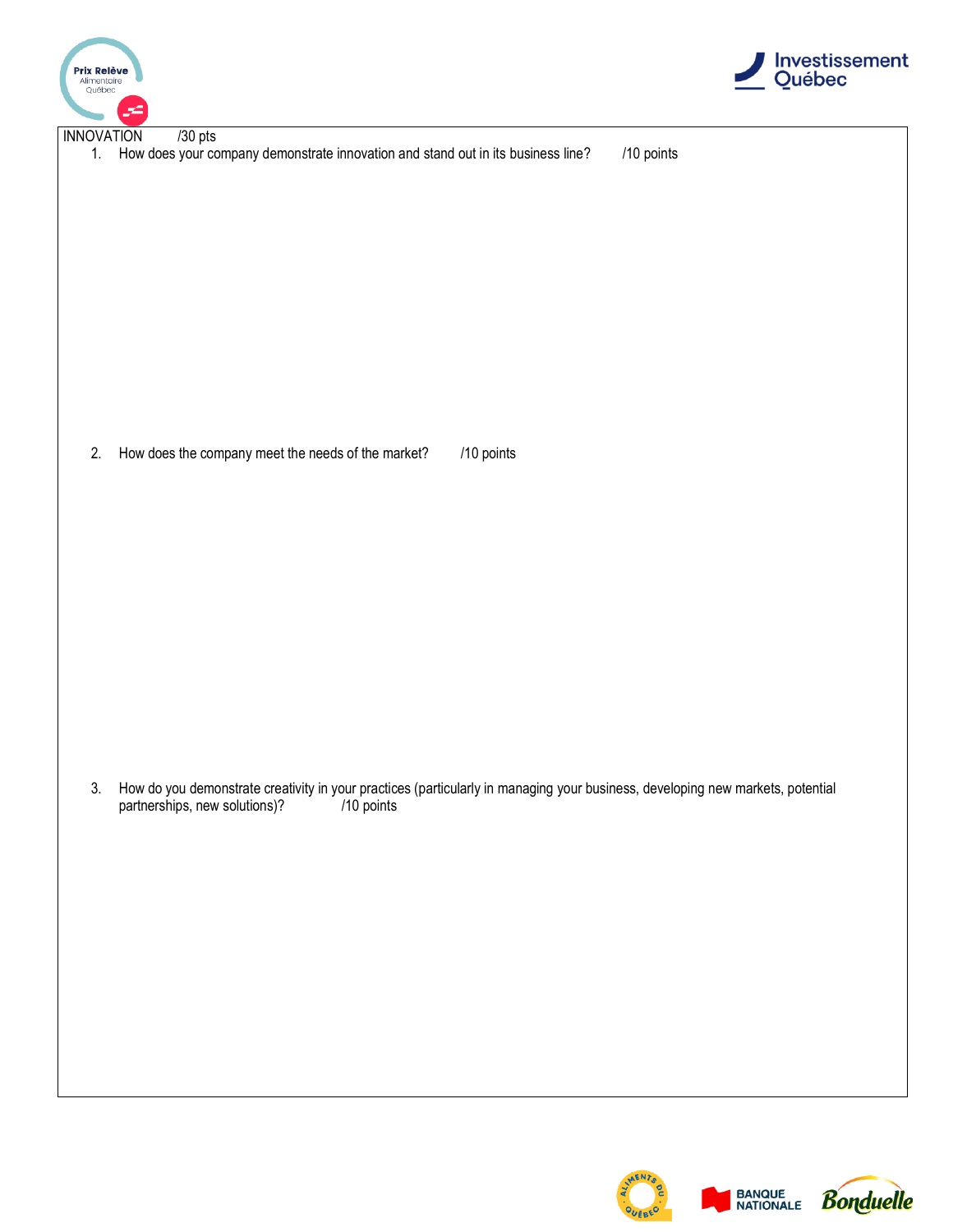



1. How does your company demonstrate innovation and stand out in its business line? /10 points

2. How does the company meet the needs of the market? /10 points

3. How do you demonstrate creativity in your practices (particularly in managing your business, developing new markets, potential partnerships, new solutions)?

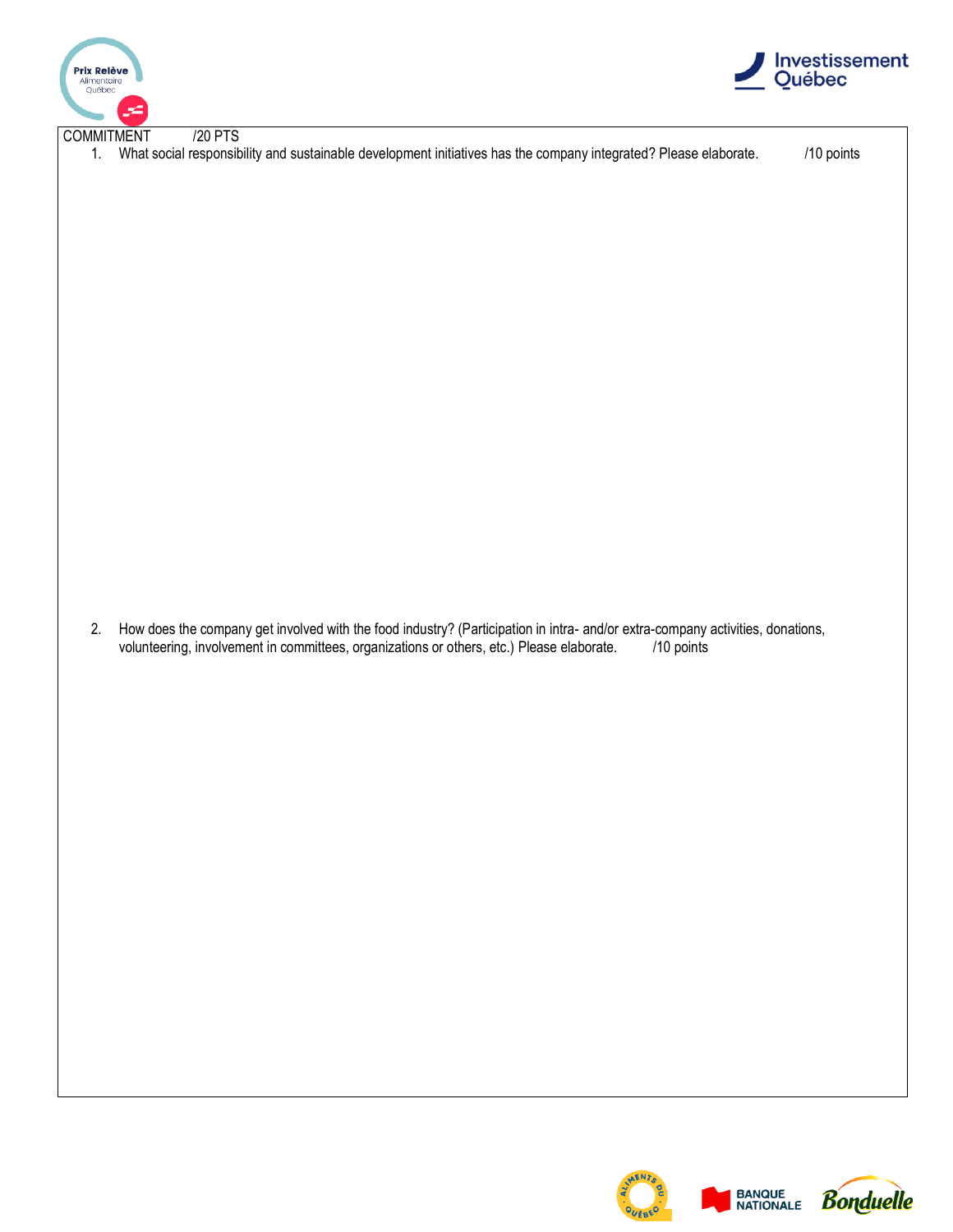



| <b>COMMITMENT</b> | /20 PTS<br>1. What social responsibility and sustainable development initiatives has the company integrated? Please elaborate.                                                                                                            | /10 points |
|-------------------|-------------------------------------------------------------------------------------------------------------------------------------------------------------------------------------------------------------------------------------------|------------|
|                   |                                                                                                                                                                                                                                           |            |
|                   |                                                                                                                                                                                                                                           |            |
|                   |                                                                                                                                                                                                                                           |            |
|                   |                                                                                                                                                                                                                                           |            |
|                   |                                                                                                                                                                                                                                           |            |
|                   |                                                                                                                                                                                                                                           |            |
|                   |                                                                                                                                                                                                                                           |            |
|                   |                                                                                                                                                                                                                                           |            |
| 2.                | How does the company get involved with the food industry? (Participation in intra- and/or extra-company activities, donations,<br>volunteering, involvement in committees, organizations or others, etc.) Please elaborate.<br>/10 points |            |
|                   |                                                                                                                                                                                                                                           |            |
|                   |                                                                                                                                                                                                                                           |            |
|                   |                                                                                                                                                                                                                                           |            |
|                   |                                                                                                                                                                                                                                           |            |
|                   |                                                                                                                                                                                                                                           |            |
|                   |                                                                                                                                                                                                                                           |            |
|                   |                                                                                                                                                                                                                                           |            |